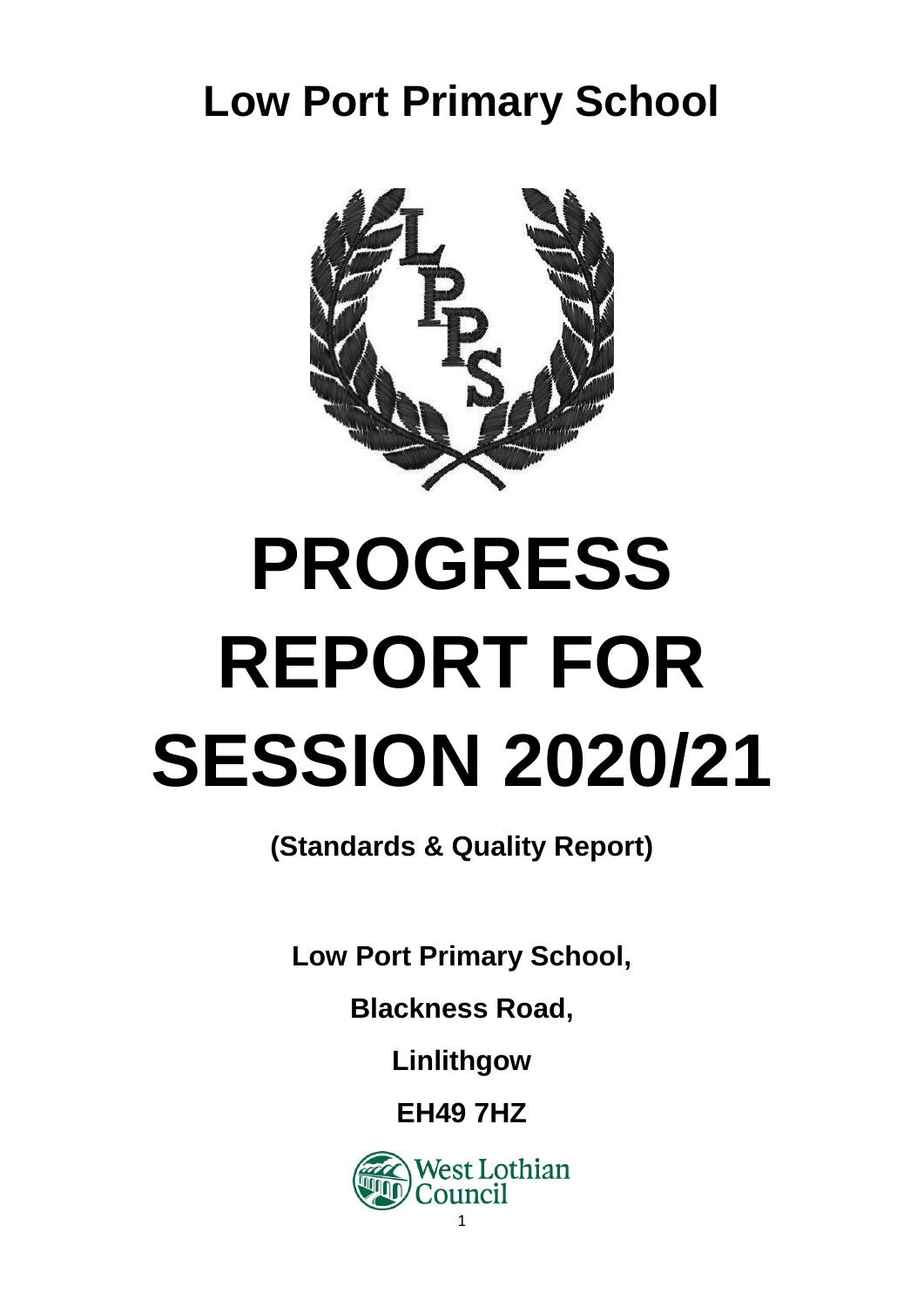# **Low Port Primary School**



# **PROGRESS REPORT FOR SESSION 2020/21**

**(Standards & Quality Report)**

**Low Port Primary School,**

**Blackness Road,**

**Linlithgow**

**EH49 7HZ**

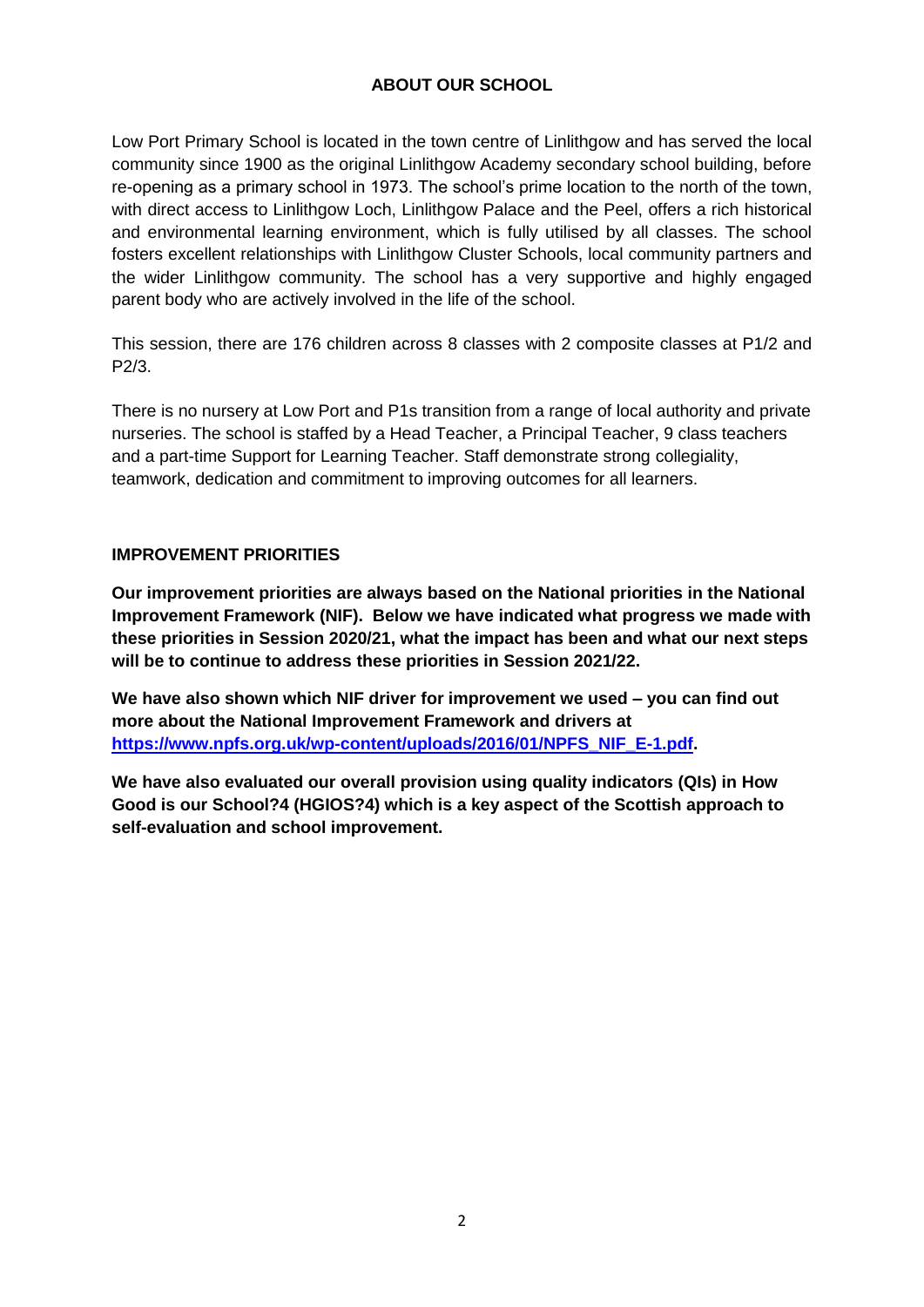# **ABOUT OUR SCHOOL**

Low Port Primary School is located in the town centre of Linlithgow and has served the local community since 1900 as the original Linlithgow Academy secondary school building, before re-opening as a primary school in 1973. The school's prime location to the north of the town, with direct access to Linlithgow Loch, Linlithgow Palace and the Peel, offers a rich historical and environmental learning environment, which is fully utilised by all classes. The school fosters excellent relationships with Linlithgow Cluster Schools, local community partners and the wider Linlithgow community. The school has a very supportive and highly engaged parent body who are actively involved in the life of the school.

This session, there are 176 children across 8 classes with 2 composite classes at P1/2 and P2/3.

There is no nursery at Low Port and P1s transition from a range of local authority and private nurseries. The school is staffed by a Head Teacher, a Principal Teacher, 9 class teachers and a part-time Support for Learning Teacher. Staff demonstrate strong collegiality, teamwork, dedication and commitment to improving outcomes for all learners.

# **IMPROVEMENT PRIORITIES**

**Our improvement priorities are always based on the National priorities in the National Improvement Framework (NIF). Below we have indicated what progress we made with these priorities in Session 2020/21, what the impact has been and what our next steps will be to continue to address these priorities in Session 2021/22.**

**We have also shown which NIF driver for improvement we used – you can find out more about the National Improvement Framework and drivers at [https://www.npfs.org.uk/wp-content/uploads/2016/01/NPFS\\_NIF\\_E-1.pdf.](https://www.npfs.org.uk/wp-content/uploads/2016/01/NPFS_NIF_E-1.pdf)**

**We have also evaluated our overall provision using quality indicators (QIs) in How Good is our School?4 (HGIOS?4) which is a key aspect of the Scottish approach to self-evaluation and school improvement.**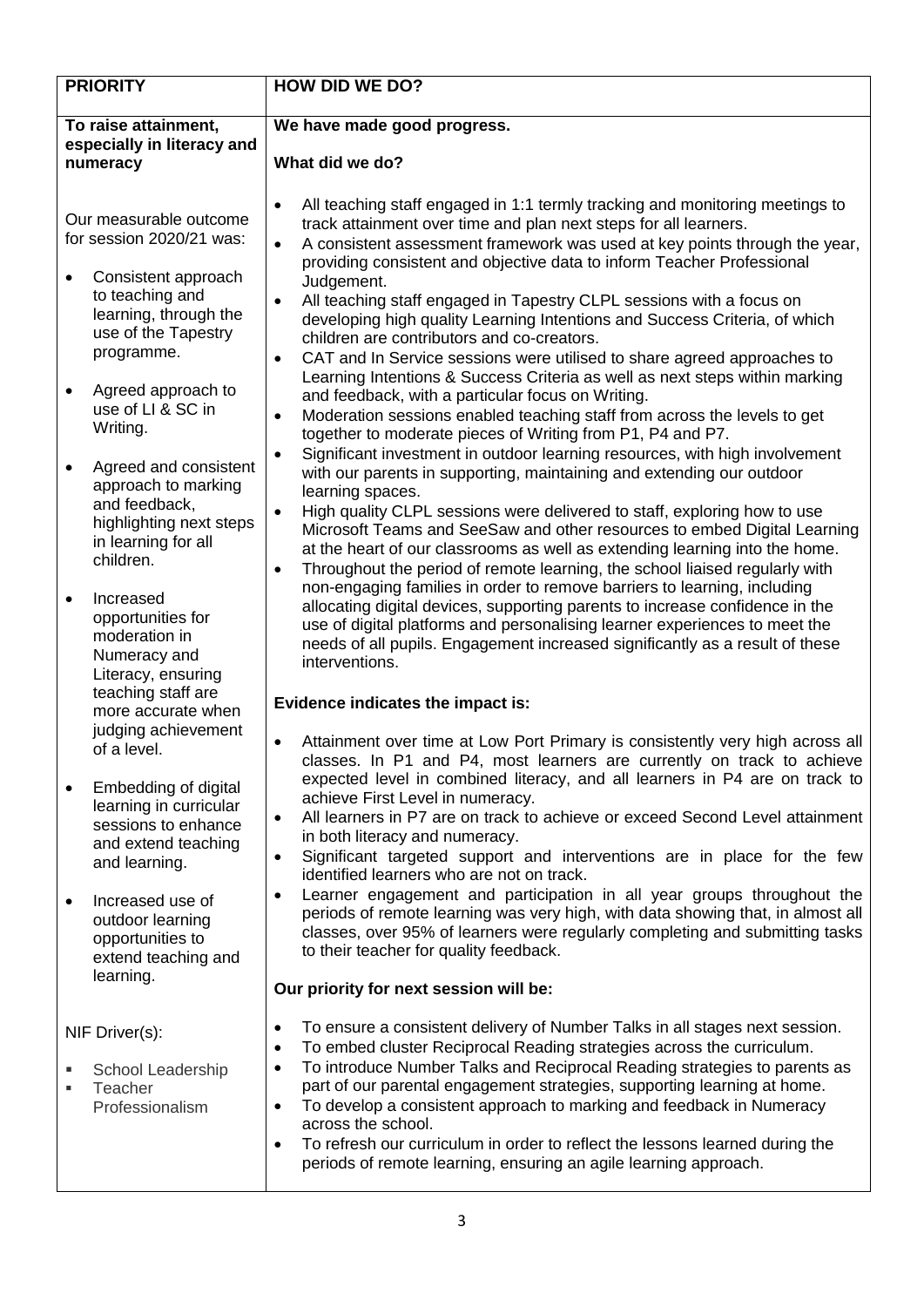| <b>PRIORITY</b>                                                |                                                                                                                              | <b>HOW DID WE DO?</b>                                                                                                                                                                                                                                                                                                                                                                                                                                                                                                                                                                                                                                     |  |  |  |
|----------------------------------------------------------------|------------------------------------------------------------------------------------------------------------------------------|-----------------------------------------------------------------------------------------------------------------------------------------------------------------------------------------------------------------------------------------------------------------------------------------------------------------------------------------------------------------------------------------------------------------------------------------------------------------------------------------------------------------------------------------------------------------------------------------------------------------------------------------------------------|--|--|--|
| To raise attainment,<br>especially in literacy and<br>numeracy |                                                                                                                              | We have made good progress.<br>What did we do?                                                                                                                                                                                                                                                                                                                                                                                                                                                                                                                                                                                                            |  |  |  |
|                                                                | Our measurable outcome<br>for session 2020/21 was:                                                                           | All teaching staff engaged in 1:1 termly tracking and monitoring meetings to<br>$\bullet$<br>track attainment over time and plan next steps for all learners.<br>A consistent assessment framework was used at key points through the year,<br>$\bullet$<br>providing consistent and objective data to inform Teacher Professional<br>Judgement.<br>All teaching staff engaged in Tapestry CLPL sessions with a focus on<br>$\bullet$<br>developing high quality Learning Intentions and Success Criteria, of which<br>children are contributors and co-creators.<br>CAT and In Service sessions were utilised to share agreed approaches to<br>$\bullet$ |  |  |  |
|                                                                | Consistent approach<br>to teaching and<br>learning, through the<br>use of the Tapestry<br>programme.                         |                                                                                                                                                                                                                                                                                                                                                                                                                                                                                                                                                                                                                                                           |  |  |  |
|                                                                | Agreed approach to<br>use of LI & SC in<br>Writing.                                                                          | Learning Intentions & Success Criteria as well as next steps within marking<br>and feedback, with a particular focus on Writing.<br>Moderation sessions enabled teaching staff from across the levels to get<br>$\bullet$<br>together to moderate pieces of Writing from P1, P4 and P7.                                                                                                                                                                                                                                                                                                                                                                   |  |  |  |
| $\bullet$                                                      | Agreed and consistent<br>approach to marking<br>and feedback,<br>highlighting next steps<br>in learning for all<br>children. | Significant investment in outdoor learning resources, with high involvement<br>$\bullet$<br>with our parents in supporting, maintaining and extending our outdoor<br>learning spaces.<br>High quality CLPL sessions were delivered to staff, exploring how to use<br>$\bullet$<br>Microsoft Teams and SeeSaw and other resources to embed Digital Learning<br>at the heart of our classrooms as well as extending learning into the home.<br>Throughout the period of remote learning, the school liaised regularly with<br>$\bullet$                                                                                                                     |  |  |  |
| $\bullet$                                                      | Increased<br>opportunities for<br>moderation in<br>Numeracy and<br>Literacy, ensuring                                        | non-engaging families in order to remove barriers to learning, including<br>allocating digital devices, supporting parents to increase confidence in the<br>use of digital platforms and personalising learner experiences to meet the<br>needs of all pupils. Engagement increased significantly as a result of these<br>interventions.                                                                                                                                                                                                                                                                                                                  |  |  |  |
|                                                                | teaching staff are<br>more accurate when                                                                                     | Evidence indicates the impact is:                                                                                                                                                                                                                                                                                                                                                                                                                                                                                                                                                                                                                         |  |  |  |
|                                                                | judging achievement<br>of a level.<br>Embedding of digital                                                                   | Attainment over time at Low Port Primary is consistently very high across all<br>classes. In P1 and P4, most learners are currently on track to achieve<br>expected level in combined literacy, and all learners in P4 are on track to                                                                                                                                                                                                                                                                                                                                                                                                                    |  |  |  |
|                                                                | learning in curricular<br>sessions to enhance<br>and extend teaching<br>and learning.                                        | achieve First Level in numeracy.<br>All learners in P7 are on track to achieve or exceed Second Level attainment<br>$\bullet$<br>in both literacy and numeracy.<br>Significant targeted support and interventions are in place for the few<br>$\bullet$<br>identified learners who are not on track.                                                                                                                                                                                                                                                                                                                                                      |  |  |  |
|                                                                | Increased use of<br>outdoor learning<br>opportunities to<br>extend teaching and<br>learning.                                 | Learner engagement and participation in all year groups throughout the<br>$\bullet$<br>periods of remote learning was very high, with data showing that, in almost all<br>classes, over 95% of learners were regularly completing and submitting tasks<br>to their teacher for quality feedback.                                                                                                                                                                                                                                                                                                                                                          |  |  |  |
|                                                                |                                                                                                                              | Our priority for next session will be:                                                                                                                                                                                                                                                                                                                                                                                                                                                                                                                                                                                                                    |  |  |  |
|                                                                | NIF Driver(s):<br>School Leadership<br>Teacher<br>Professionalism                                                            | To ensure a consistent delivery of Number Talks in all stages next session.<br>$\bullet$<br>To embed cluster Reciprocal Reading strategies across the curriculum.<br>$\bullet$<br>To introduce Number Talks and Reciprocal Reading strategies to parents as<br>$\bullet$<br>part of our parental engagement strategies, supporting learning at home.<br>To develop a consistent approach to marking and feedback in Numeracy<br>$\bullet$<br>across the school.<br>To refresh our curriculum in order to reflect the lessons learned during the<br>$\bullet$<br>periods of remote learning, ensuring an agile learning approach.                          |  |  |  |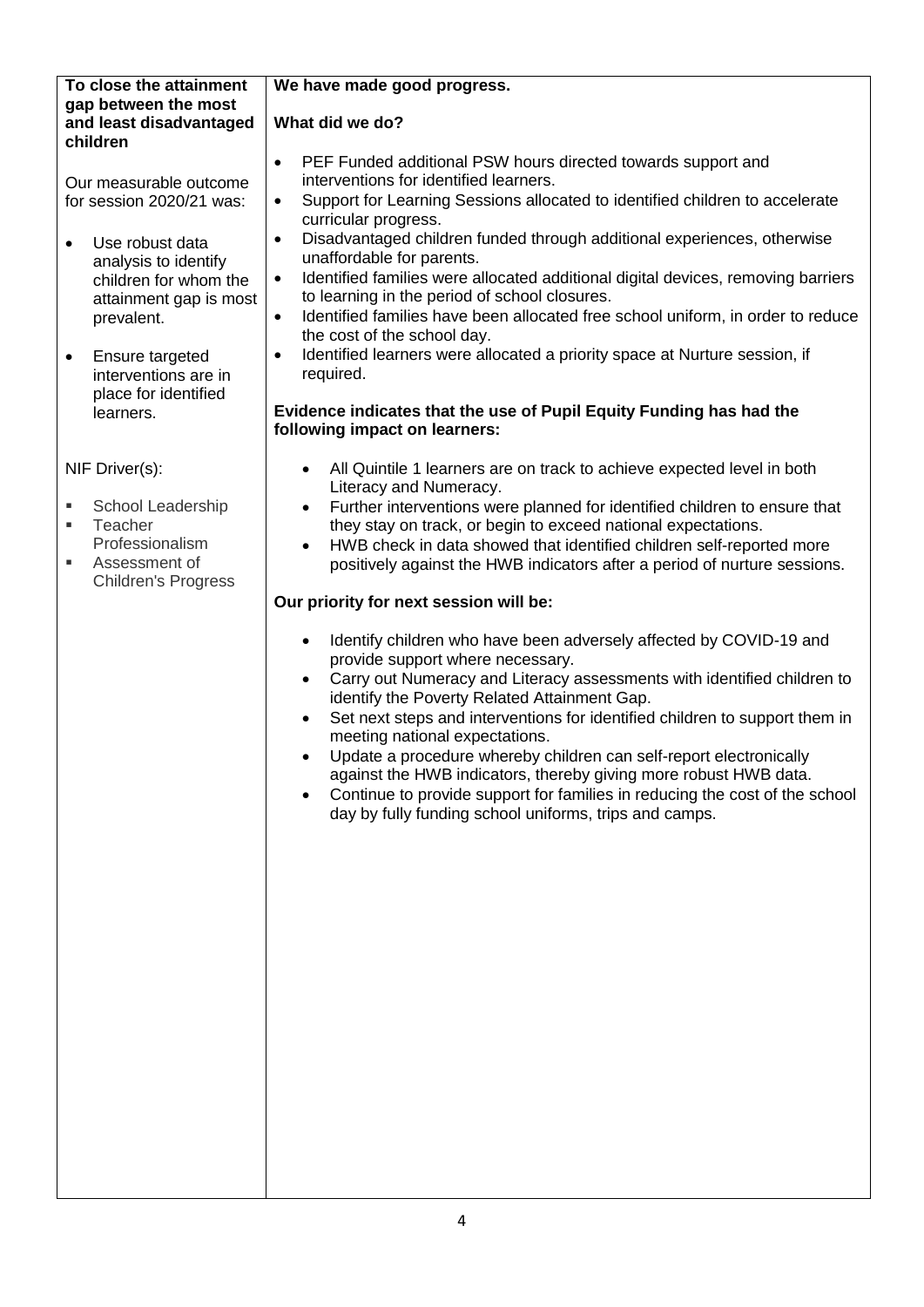#### **To close the attainment gap between the most and least disadvantaged children**

Our measurable outcome for session 2020/21 was:

- Use robust data analysis to identify children for whom the attainment gap is most prevalent.
- Ensure targeted interventions are in place for identified learners.

NIF Driver(s):

- School Leadership
- **Teacher** Professionalism
- **Assessment of** Children's Progress

# **We have made good progress.**

# **What did we do?**

- PEF Funded additional PSW hours directed towards support and interventions for identified learners.
- Support for Learning Sessions allocated to identified children to accelerate curricular progress.
- Disadvantaged children funded through additional experiences, otherwise unaffordable for parents.
- Identified families were allocated additional digital devices, removing barriers to learning in the period of school closures.
- Identified families have been allocated free school uniform, in order to reduce the cost of the school day.
- Identified learners were allocated a priority space at Nurture session, if required.

#### **Evidence indicates that the use of Pupil Equity Funding has had the following impact on learners:**

- All Quintile 1 learners are on track to achieve expected level in both Literacy and Numeracy.
- Further interventions were planned for identified children to ensure that they stay on track, or begin to exceed national expectations.
- HWB check in data showed that identified children self-reported more positively against the HWB indicators after a period of nurture sessions.

# **Our priority for next session will be:**

- Identify children who have been adversely affected by COVID-19 and provide support where necessary.
- Carry out Numeracy and Literacy assessments with identified children to identify the Poverty Related Attainment Gap.
- Set next steps and interventions for identified children to support them in meeting national expectations.
- Update a procedure whereby children can self-report electronically against the HWB indicators, thereby giving more robust HWB data.
- Continue to provide support for families in reducing the cost of the school day by fully funding school uniforms, trips and camps.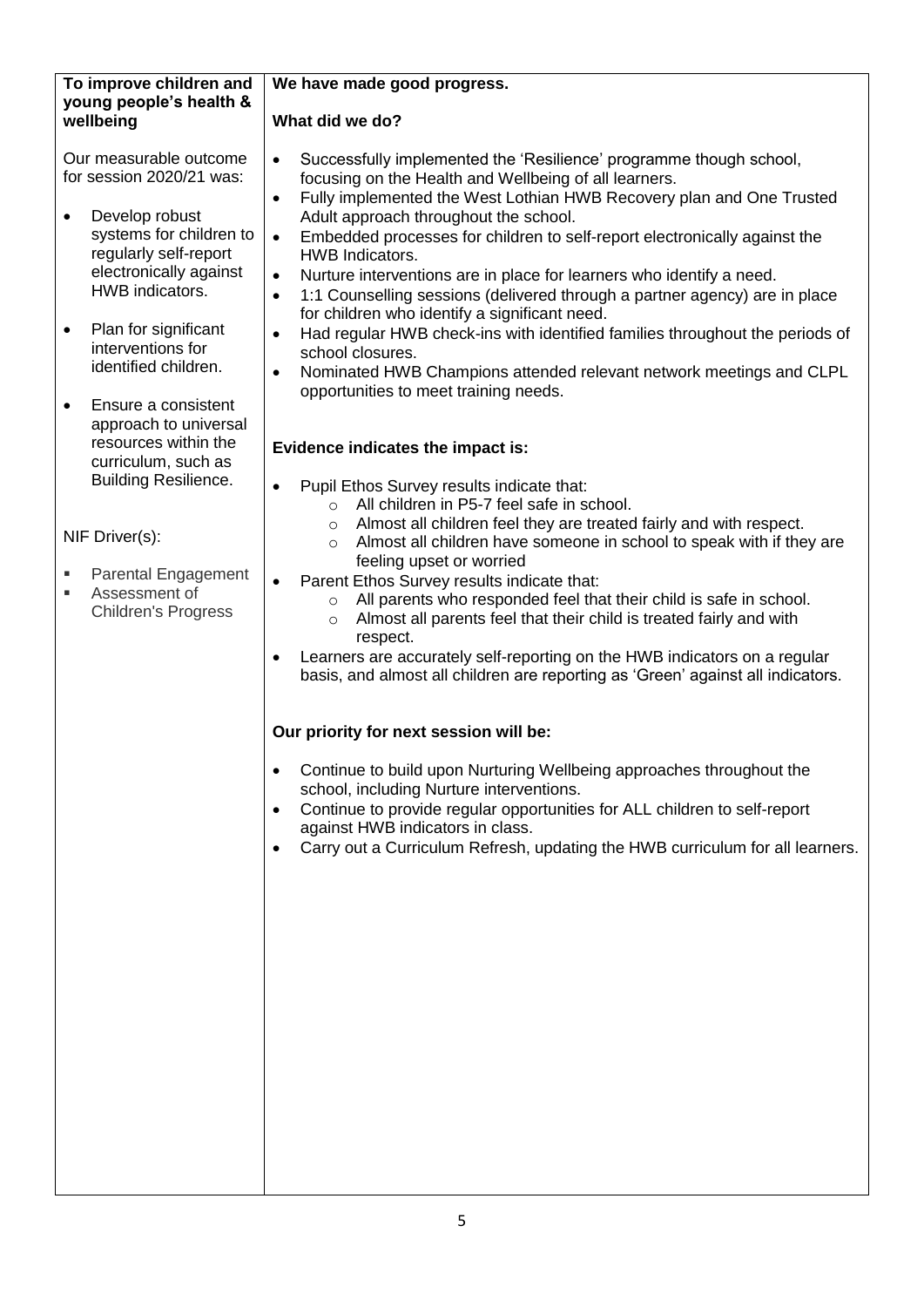#### **To improve children and young people's health & wellbeing**

Our measurable outcome for session 2020/21 was:

- Develop robust systems for children to regularly self-report electronically against HWB indicators.
- Plan for significant interventions for identified children.
- Ensure a consistent approach to universal resources within the curriculum, such as Building Resilience.

NIF Driver(s):

- **Parental Engagement**
- **Assessment of** Children's Progress

# **We have made good progress.**

# **What did we do?**

- Successfully implemented the 'Resilience' programme though school, focusing on the Health and Wellbeing of all learners.
- Fully implemented the West Lothian HWB Recovery plan and One Trusted Adult approach throughout the school.
- Embedded processes for children to self-report electronically against the HWB Indicators.
- Nurture interventions are in place for learners who identify a need.
- 1:1 Counselling sessions (delivered through a partner agency) are in place for children who identify a significant need.
- Had regular HWB check-ins with identified families throughout the periods of school closures.
- Nominated HWB Champions attended relevant network meetings and CLPL opportunities to meet training needs.

# **Evidence indicates the impact is:**

- Pupil Ethos Survey results indicate that:
	- o All children in P5-7 feel safe in school.
	- o Almost all children feel they are treated fairly and with respect.
	- o Almost all children have someone in school to speak with if they are feeling upset or worried
- Parent Ethos Survey results indicate that:
	- o All parents who responded feel that their child is safe in school.
	- o Almost all parents feel that their child is treated fairly and with respect.
- Learners are accurately self-reporting on the HWB indicators on a regular basis, and almost all children are reporting as 'Green' against all indicators.

# **Our priority for next session will be:**

- Continue to build upon Nurturing Wellbeing approaches throughout the school, including Nurture interventions.
- Continue to provide regular opportunities for ALL children to self-report against HWB indicators in class.
- Carry out a Curriculum Refresh, updating the HWB curriculum for all learners.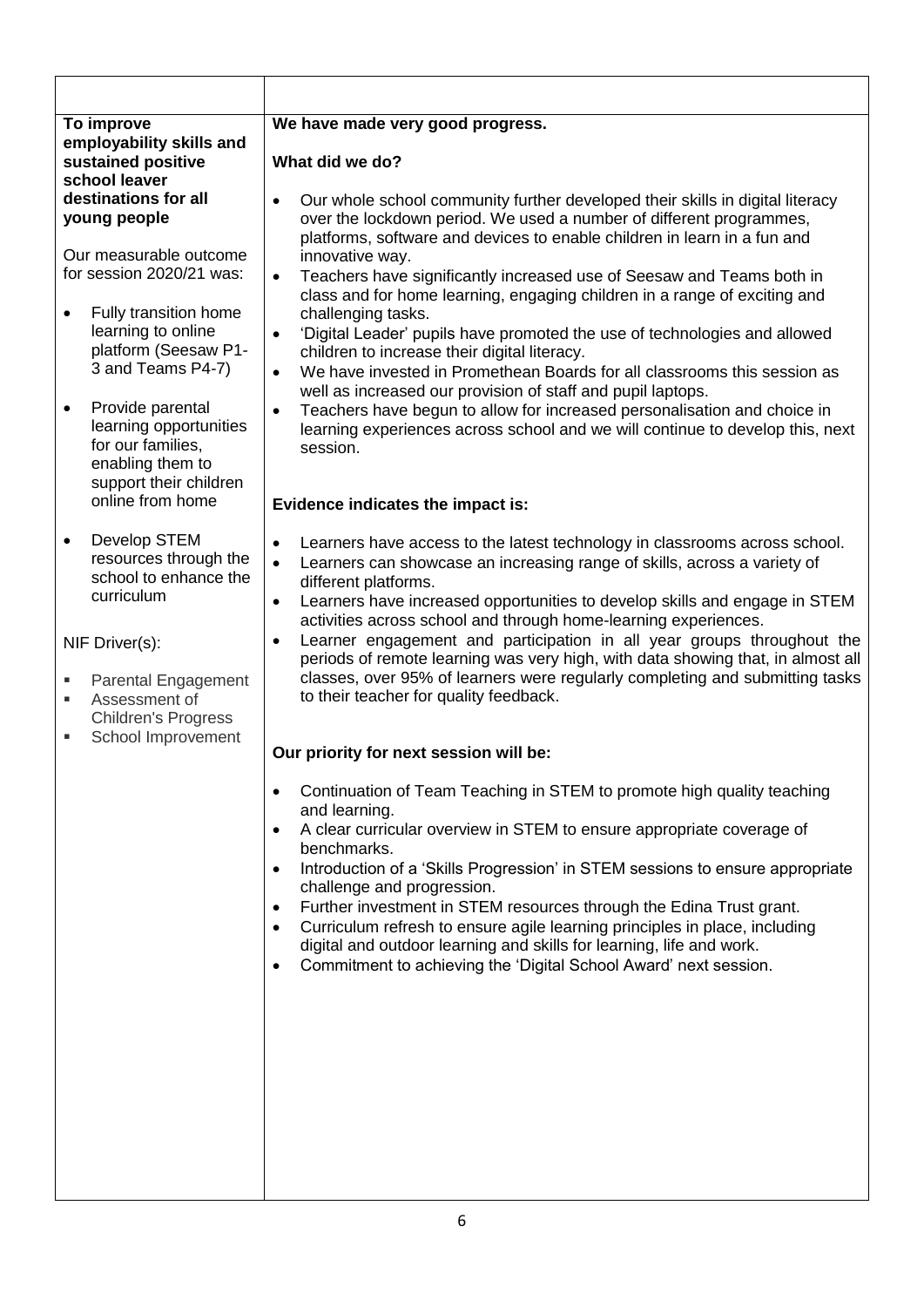| To improve<br>employability skills and<br>sustained positive<br>school leaver<br>destinations for all<br>young people |                                                                                                               | We have made very good progress.                                                                                                                                                                                                                                                                                                                                       |  |  |
|-----------------------------------------------------------------------------------------------------------------------|---------------------------------------------------------------------------------------------------------------|------------------------------------------------------------------------------------------------------------------------------------------------------------------------------------------------------------------------------------------------------------------------------------------------------------------------------------------------------------------------|--|--|
|                                                                                                                       |                                                                                                               | What did we do?                                                                                                                                                                                                                                                                                                                                                        |  |  |
|                                                                                                                       |                                                                                                               | Our whole school community further developed their skills in digital literacy<br>$\bullet$<br>over the lockdown period. We used a number of different programmes,<br>platforms, software and devices to enable children in learn in a fun and                                                                                                                          |  |  |
| Our measurable outcome<br>for session 2020/21 was:                                                                    |                                                                                                               | innovative way.<br>Teachers have significantly increased use of Seesaw and Teams both in<br>$\bullet$                                                                                                                                                                                                                                                                  |  |  |
| $\bullet$                                                                                                             | Fully transition home<br>learning to online<br>platform (Seesaw P1-<br>3 and Teams P4-7)                      | class and for home learning, engaging children in a range of exciting and<br>challenging tasks.<br>'Digital Leader' pupils have promoted the use of technologies and allowed<br>$\bullet$<br>children to increase their digital literacy.<br>We have invested in Promethean Boards for all classrooms this session as<br>$\bullet$                                     |  |  |
| $\bullet$                                                                                                             | Provide parental<br>learning opportunities<br>for our families,<br>enabling them to<br>support their children | well as increased our provision of staff and pupil laptops.<br>Teachers have begun to allow for increased personalisation and choice in<br>$\bullet$<br>learning experiences across school and we will continue to develop this, next<br>session.                                                                                                                      |  |  |
| online from home                                                                                                      |                                                                                                               | Evidence indicates the impact is:                                                                                                                                                                                                                                                                                                                                      |  |  |
| $\bullet$                                                                                                             | Develop STEM<br>resources through the<br>school to enhance the<br>curriculum                                  | Learners have access to the latest technology in classrooms across school.<br>$\bullet$<br>Learners can showcase an increasing range of skills, across a variety of<br>$\bullet$<br>different platforms.<br>Learners have increased opportunities to develop skills and engage in STEM<br>$\bullet$<br>activities across school and through home-learning experiences. |  |  |
|                                                                                                                       | NIF Driver(s):<br>Parental Engagement<br>Assessment of<br><b>Children's Progress</b>                          | Learner engagement and participation in all year groups throughout the<br>$\bullet$<br>periods of remote learning was very high, with data showing that, in almost all<br>classes, over 95% of learners were regularly completing and submitting tasks<br>to their teacher for quality feedback.                                                                       |  |  |
|                                                                                                                       | School Improvement                                                                                            | Our priority for next session will be:                                                                                                                                                                                                                                                                                                                                 |  |  |
|                                                                                                                       |                                                                                                               | Continuation of Team Teaching in STEM to promote high quality teaching<br>$\bullet$<br>and learning.<br>A clear curricular overview in STEM to ensure appropriate coverage of<br>$\bullet$<br>benchmarks.<br>Introduction of a 'Skills Progression' in STEM sessions to ensure appropriate<br>$\bullet$                                                                |  |  |
|                                                                                                                       |                                                                                                               | challenge and progression.<br>Further investment in STEM resources through the Edina Trust grant.<br>$\bullet$<br>Curriculum refresh to ensure agile learning principles in place, including<br>$\bullet$<br>digital and outdoor learning and skills for learning, life and work.<br>Commitment to achieving the 'Digital School Award' next session.<br>$\bullet$     |  |  |
|                                                                                                                       |                                                                                                               |                                                                                                                                                                                                                                                                                                                                                                        |  |  |